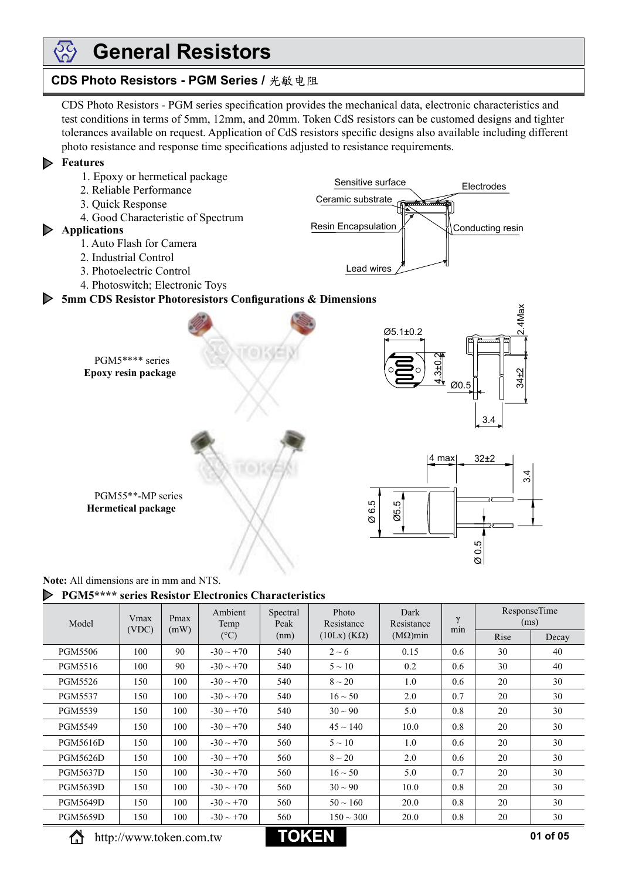## **General Resistors**

## **CDS Photo Resistors - PGM Series / 光敏电阻**

CDS Photo Resistors - PGM series specification provides the mechanical data, electronic characteristics and test conditions in terms of 5mm, 12mm, and 20mm. Token CdS resistors can be customed designs and tighter tolerances available on request. Application of CdS resistors specific designs also available including different photo resistance and response time specifications adjusted to resistance requirements.

Sensitive surface

Lead wires

Ceramic substrate

Resin Encapsulation

Conducting resin

Electrodes

### **Features**

<u> දැරි</u>

- 1. Epoxy or hermetical package
- 2. Reliable Performance
- 3. Quick Response
- 4. Good Characteristic of Spectrum

## **Applications**

- 1. Auto Flash for Camera
- 2. Industrial Control
- 3. Photoelectric Control
- 4. Photoswitch; Electronic Toys

## **5mm CDS Resistor Photoresistors Configurations & Dimensions**



**Note:** All dimensions are in mm and NTS.

### **PGM5\*\*\*\* series Resistor Electronics Characteristics**

| Model           | Vmax<br>(VDC) | Pmax | Ambient<br>Temp | Spectral<br>Peak | Photo<br>Resistance    | Dark<br>Resistance | $\gamma$ | <b>ResponseTime</b><br>(ms) |       |
|-----------------|---------------|------|-----------------|------------------|------------------------|--------------------|----------|-----------------------------|-------|
|                 |               | (mW) | $(^{\circ}C)$   | (nm)             | $(10Lx)$ (K $\Omega$ ) | $(M\Omega)$ min    | min      | Rise                        | Decay |
| <b>PGM5506</b>  | 100           | 90   | $-30 \sim +70$  | 540              | $2 \sim 6$             | 0.15               | 0.6      | 30                          | 40    |
| PGM5516         | 100           | 90   | $-30 \sim +70$  | 540              | $5 \sim 10$            | 0.2                | 0.6      | 30                          | 40    |
| PGM5526         | 150           | 100  | $-30 \sim +70$  | 540              | $8 \sim 20$            | 1.0                | 0.6      | 20                          | 30    |
| <b>PGM5537</b>  | 150           | 100  | $-30 \sim +70$  | 540              | $16 \sim 50$           | 2.0                | 0.7      | 20                          | 30    |
| <b>PGM5539</b>  | 150           | 100  | $-30 \sim +70$  | 540              | $30 \sim 90$           | 5.0                | 0.8      | 20                          | 30    |
| <b>PGM5549</b>  | 150           | 100  | $-30 \sim +70$  | 540              | $45 \sim 140$          | 10.0               | 0.8      | 20                          | 30    |
| <b>PGM5616D</b> | 150           | 100  | $-30 \sim +70$  | 560              | $5 \sim 10$            | 1.0                | 0.6      | 20                          | 30    |
| <b>PGM5626D</b> | 150           | 100  | $-30 \sim +70$  | 560              | $8 \sim 20$            | 2.0                | 0.6      | 20                          | 30    |
| <b>PGM5637D</b> | 150           | 100  | $-30 \sim +70$  | 560              | $16 \sim 50$           | 5.0                | 0.7      | 20                          | 30    |
| <b>PGM5639D</b> | 150           | 100  | $-30 \sim +70$  | 560              | $30 \sim 90$           | 10.0               | 0.8      | 20                          | 30    |
| <b>PGM5649D</b> | 150           | 100  | $-30 \sim +70$  | 560              | $50 \sim 160$          | 20.0               | 0.8      | 20                          | 30    |
| <b>PGM5659D</b> | 150           | 100  | $-30 \sim +70$  | 560              | $150 \sim 300$         | 20.0               | 0.8      | 20                          | 30    |

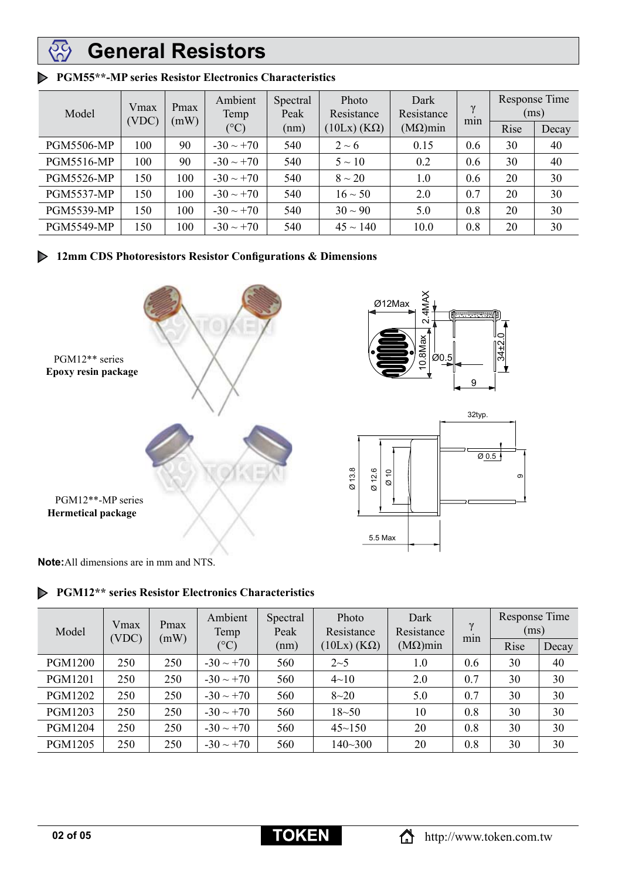#### $\mathfrak{F}$ **General Resistors**

| Model             | Vmax<br>(VDC) | Pmax<br>(mW) | Ambient<br>Temp<br>$(^{\circ}C)$ | Spectral<br>Peak<br>(nm) | Photo<br>Resistance    | Dark<br>Resistance<br>$(M\Omega)$ min | $\gamma$ | Response Time<br>(ms) |       |
|-------------------|---------------|--------------|----------------------------------|--------------------------|------------------------|---------------------------------------|----------|-----------------------|-------|
|                   |               |              |                                  |                          | $(10Lx)$ (K $\Omega$ ) |                                       | min      | Rise                  | Decay |
| <b>PGM5506-MP</b> | 100           | 90           | $-30 \sim +70$                   | 540                      | $2 \sim 6$             | 0.15                                  | 0.6      | 30                    | 40    |
| <b>PGM5516-MP</b> | 100           | 90           | $-30 \sim +70$                   | 540                      | $5 \sim 10$            | 0.2                                   | 0.6      | 30                    | 40    |
| <b>PGM5526-MP</b> | 150           | 100          | $-30 \sim +70$                   | 540                      | $8 \sim 20$            | 1.0                                   | 0.6      | 20                    | 30    |
| <b>PGM5537-MP</b> | 150           | 100          | $-30 \sim +70$                   | 540                      | $16 \sim 50$           | 2.0                                   | 0.7      | 20                    | 30    |
| <b>PGM5539-MP</b> | 150           | 100          | $-30 \sim +70$                   | 540                      | $30 \sim 90$           | 5.0                                   | 0.8      | 20                    | 30    |
| <b>PGM5549-MP</b> | 150           | 100          | $-30 \sim +70$                   | 540                      | $45 \sim 140$          | 10.0                                  | 0.8      | 20                    | 30    |

## **PGM55\*\*-MP series Resistor Electronics Characteristics**

## **12mm CDS Photoresistors Resistor Configurations & Dimensions**



**Note:**All dimensions are in mm and NTS.

**PGM12\*\* series Resistor Electronics Characteristics**

| Model          | Vmax<br>(VDC) | Pmax<br>(mW) | Ambient<br>Temp | Spectral<br>Peak | Photo<br>Resistance    | Dark<br>Resistance<br>$(M\Omega)$ min | $\gamma$<br>min | Response Time<br>(ms) |       |
|----------------|---------------|--------------|-----------------|------------------|------------------------|---------------------------------------|-----------------|-----------------------|-------|
|                |               |              | $({}^{\circ}C)$ | (nm)             | $(10Lx)$ (K $\Omega$ ) |                                       |                 | Rise                  | Decay |
| <b>PGM1200</b> | 250           | 250          | $-30 \sim +70$  | 560              | $2 - 5$                | 1.0                                   | 0.6             | 30                    | 40    |
| <b>PGM1201</b> | 250           | 250          | $-30 \sim +70$  | 560              | $4 \sim 10$            | 2.0                                   | 0.7             | 30                    | 30    |
| <b>PGM1202</b> | 250           | 250          | $-30 \sim +70$  | 560              | $8 - 20$               | 5.0                                   | 0.7             | 30                    | 30    |
| PGM1203        | 250           | 250          | $-30 \sim +70$  | 560              | $18 - 50$              | 10                                    | 0.8             | 30                    | 30    |
| <b>PGM1204</b> | 250           | 250          | $-30 \sim +70$  | 560              | $45 \sim 150$          | 20                                    | 0.8             | 30                    | 30    |
| <b>PGM1205</b> | 250           | 250          | $-30 \sim +70$  | 560              | $140 - 300$            | 20                                    | 0.8             | 30                    | 30    |

 $\sigma$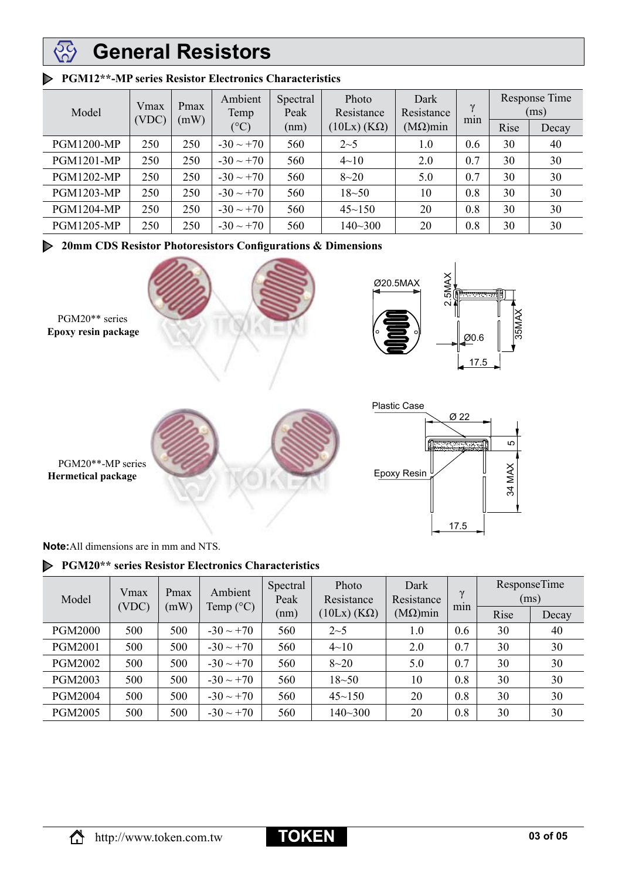#### **General Resistors** 55)<br>102

| Model             | Vmax<br>(VDC) | Pmax<br>(mW) | Ambient<br>Temp<br>$({}^{\circ}C)$ | Photo<br>Spectral<br>Peak<br>Resistance | Dark<br>Resistance     | $\gamma$        | <b>Response Time</b><br>(ms) |      |       |
|-------------------|---------------|--------------|------------------------------------|-----------------------------------------|------------------------|-----------------|------------------------------|------|-------|
|                   |               |              |                                    | (nm)                                    | $(10Lx)$ (K $\Omega$ ) | $(M\Omega)$ min | min                          | Rise | Decay |
| <b>PGM1200-MP</b> | 250           | 250          | $-30 \sim +70$                     | 560                                     | $2 - 5$                | 1.0             | 0.6                          | 30   | 40    |
| <b>PGM1201-MP</b> | 250           | 250          | $-30 \sim +70$                     | 560                                     | $4 - 10$               | 2.0             | 0.7                          | 30   | 30    |
| <b>PGM1202-MP</b> | 250           | 250          | $-30 \sim +70$                     | 560                                     | $8 - 20$               | 5.0             | 0.7                          | 30   | 30    |
| <b>PGM1203-MP</b> | 250           | 250          | $-30 \sim +70$                     | 560                                     | $18 - 50$              | 10              | 0.8                          | 30   | 30    |
| <b>PGM1204-MP</b> | 250           | 250          | $-30 \sim +70$                     | 560                                     | $45 \sim 150$          | 20              | 0.8                          | 30   | 30    |
| <b>PGM1205-MP</b> | 250           | 250          | $-30 \sim +70$                     | 560                                     | $140 - 300$            | 20              | 0.8                          | 30   | 30    |

## **PGM12\*\*-MP series Resistor Electronics Characteristics**

**20mm CDS Resistor Photoresistors Configurations & Dimensions**



**Note:**All dimensions are in mm and NTS.

## **PGM20\*\* series Resistor Electronics Characteristics**

| Model          | Vmax  | Pmax | Ambient<br>Temp $(^{\circ}C)$ | Spectral<br>Peak<br>(nm) | Photo<br>Resistance<br>$(10Lx)$ (K $\Omega$ ) | Dark<br>Resistance<br>$(M\Omega)$ min | $\gamma$<br>min | <b>ResponseTime</b><br>(ms) |       |
|----------------|-------|------|-------------------------------|--------------------------|-----------------------------------------------|---------------------------------------|-----------------|-----------------------------|-------|
|                | (VDC) | (mW) |                               |                          |                                               |                                       |                 | Rise                        | Decay |
| <b>PGM2000</b> | 500   | 500  | $-30 \sim +70$                | 560                      | $2 - 5$                                       | 1.0                                   | 0.6             | 30                          | 40    |
| <b>PGM2001</b> | 500   | 500  | $-30 \sim +70$                | 560                      | $4 \sim 10$                                   | 2.0                                   | 0.7             | 30                          | 30    |
| <b>PGM2002</b> | 500   | 500  | $-30 \sim +70$                | 560                      | $8 - 20$                                      | 5.0                                   | 0.7             | 30                          | 30    |
| <b>PGM2003</b> | 500   | 500  | $-30 \sim +70$                | 560                      | $18 - 50$                                     | 10                                    | 0.8             | 30                          | 30    |
| <b>PGM2004</b> | 500   | 500  | $-30 \sim +70$                | 560                      | $45 - 150$                                    | 20                                    | 0.8             | 30                          | 30    |
| <b>PGM2005</b> | 500   | 500  | $-30 \sim +70$                | 560                      | $140 - 300$                                   | 20                                    | 0.8             | 30                          | 30    |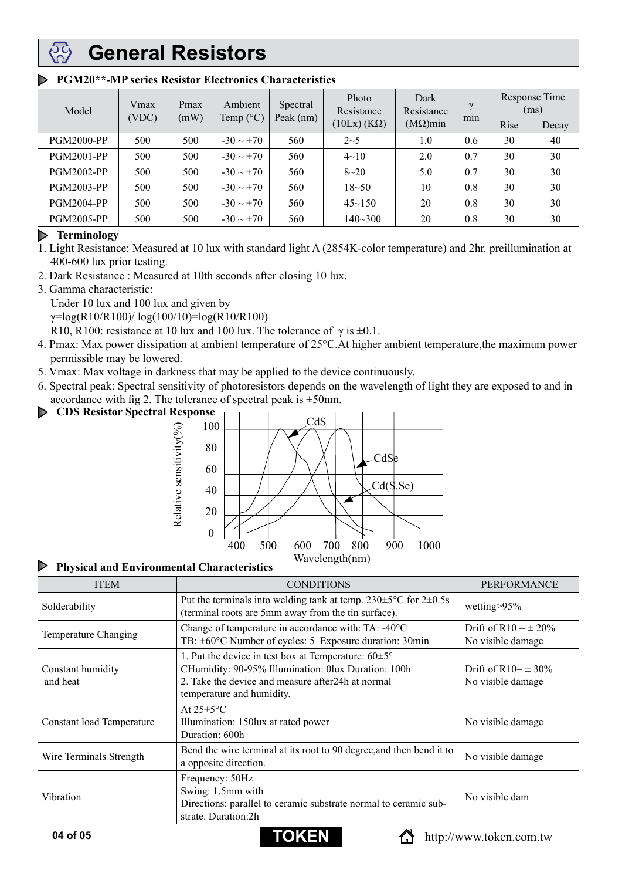# **General Resistors**

| Model             | Vmax<br>(VDC) |      |                |           |                        |                 | Pmax | Ambient<br>Temp $(^{\circ}C)$ | Spectral | Photo<br>Resistance | Dark<br>Resistance | $\gamma$ |  | Response Time<br>(ms) |
|-------------------|---------------|------|----------------|-----------|------------------------|-----------------|------|-------------------------------|----------|---------------------|--------------------|----------|--|-----------------------|
|                   |               | (mW) |                | Peak (nm) | $(10Lx)$ (K $\Omega$ ) | $(M\Omega)$ min | min  | Rise                          | Decay    |                     |                    |          |  |                       |
| <b>PGM2000-PP</b> | 500           | 500  | $-30 \sim +70$ | 560       | $2 - 5$                | 1.0             | 0.6  | 30                            | 40       |                     |                    |          |  |                       |
| <b>PGM2001-PP</b> | 500           | 500  | $-30 \sim +70$ | 560       | $4 \sim 10$            | 2.0             | 0.7  | 30                            | 30       |                     |                    |          |  |                       |
| <b>PGM2002-PP</b> | 500           | 500  | $-30 \sim +70$ | 560       | $8 - 20$               | 5.0             | 0.7  | 30                            | 30       |                     |                    |          |  |                       |
| <b>PGM2003-PP</b> | 500           | 500  | $-30 \sim +70$ | 560       | $18 - 50$              | 10              | 0.8  | 30                            | 30       |                     |                    |          |  |                       |
| <b>PGM2004-PP</b> | 500           | 500  | $-30 \sim +70$ | 560       | $45 - 150$             | 20              | 0.8  | 30                            | 30       |                     |                    |          |  |                       |
| <b>PGM2005-PP</b> | 500           | 500  | $-30 \sim +70$ | 560       | 140~300                | 20              | 0.8  | 30                            | 30       |                     |                    |          |  |                       |

## **PGM20\*\*-MP series Resistor Electronics Characteristics**

## **Terminology**

1. Light Resistance: Measured at 10 lux with standard light A (2854K-color temperature) and 2hr. preillumination at 400-600 lux prior testing.

- 2. Dark Resistance : Measured at 10th seconds after closing 10 lux.
- 3. Gamma characteristic:

Under 10 lux and 100 lux and given by

 $\gamma = \log(R10/R100) / \log(100/10) = \log(R10/R100)$ 

R10, R100: resistance at 10 lux and 100 lux. The tolerance of  $\gamma$  is  $\pm 0.1$ .

- 4. Pmax: Max power dissipation at ambient temperature of 25°C.At higher ambient temperature,the maximum power permissible may be lowered.
- 5. Vmax: Max voltage in darkness that may be applied to the device continuously.
- 6. Spectral peak: Spectral sensitivity of photoresistors depends on the wavelength of light they are exposed to and in accordance with fig 2. The tolerance of spectral peak is  $\pm$ 50nm.
- **CDS Resistor Spectral Response** $\triangleright$



#### D **Physical and Environmental Characteristics**

| <b>ITEM</b>                      | <b>CONDITIONS</b>                                                                                                                                                                                        | <b>PERFORMANCE</b>                            |
|----------------------------------|----------------------------------------------------------------------------------------------------------------------------------------------------------------------------------------------------------|-----------------------------------------------|
| Solderability                    | Put the terminals into welding tank at temp. $230 \pm 5^{\circ}$ C for $2 \pm 0.5$ s<br>(terminal roots are 5mm away from the tin surface).                                                              | wetting>95%                                   |
| Temperature Changing             | Change of temperature in accordance with: TA: -40°C<br>TB: +60°C Number of cycles: 5 Exposure duration: 30min                                                                                            | Drift of R10 = $\pm$ 20%<br>No visible damage |
| Constant humidity<br>and heat    | 1. Put the device in test box at Temperature: $60\pm5^{\circ}$<br>CHumidity: 90-95% Illumination: 0lux Duration: 100h<br>2. Take the device and measure after 24h at normal<br>temperature and humidity. | Drift of R10= $\pm$ 30%<br>No visible damage  |
| <b>Constant load Temperature</b> | At $25 \pm 5^{\circ}$ C<br>Illumination: 150lux at rated power<br>Duration: 600h                                                                                                                         | No visible damage                             |
| Wire Terminals Strength          | Bend the wire terminal at its root to 90 degree, and then bend it to<br>a opposite direction.                                                                                                            | No visible damage                             |
| Vibration                        | Frequency: 50Hz<br>Swing: 1.5mm with<br>Directions: parallel to ceramic substrate normal to ceramic sub-<br>strate. Duration:2h                                                                          | No visible dam                                |